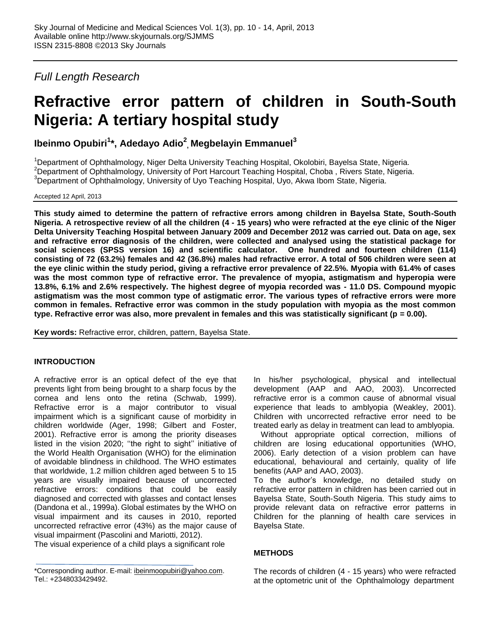*Full Length Research*

# **Refractive error pattern of children in South-South Nigeria: A tertiary hospital study**

**Ibeinmo Opubiri<sup>1</sup> \*, Adedayo Adio<sup>2</sup> , Megbelayin Emmanuel<sup>3</sup>**

<sup>1</sup>Department of Ophthalmology, Niger Delta University Teaching Hospital, Okolobiri, Bayelsa State, Nigeria. <sup>2</sup>Department of Ophthalmology, University of Port Harcourt Teaching Hospital, Choba, Rivers State, Nigeria.  $3$ Department of Ophthalmology, University of Uyo Teaching Hospital, Uyo, Akwa Ibom State, Nigeria.

Accepted 12 April, 2013

**This study aimed to determine the pattern of refractive errors among children in Bayelsa State, South-South Nigeria. A retrospective review of all the children (4 - 15 years) who were refracted at the eye clinic of the Niger Delta University Teaching Hospital between January 2009 and December 2012 was carried out. Data on age, sex and refractive error diagnosis of the children, were collected and analysed using the statistical package for social sciences (SPSS version 16) and scientific calculator. One hundred and fourteen children (114) consisting of 72 (63.2%) females and 42 (36.8%) males had refractive error. A total of 506 children were seen at the eye clinic within the study period, giving a refractive error prevalence of 22.5%. Myopia with 61.4% of cases was the most common type of refractive error. The prevalence of myopia, astigmatism and hyperopia were 13.8%, 6.1% and 2.6% respectively. The highest degree of myopia recorded was - 11.0 DS. Compound myopic astigmatism was the most common type of astigmatic error. The various types of refractive errors were more common in females. Refractive error was common in the study population with myopia as the most common type. Refractive error was also, more prevalent in females and this was statistically significant (p = 0.00).** 

**Key words:** Refractive error, children, pattern, Bayelsa State.

# **INTRODUCTION**

A refractive error is an optical defect of the eye that prevents light from being brought to a sharp focus by the cornea and lens onto the retina (Schwab, 1999). Refractive error is a major contributor to visual impairment which is a significant cause of morbidity in children worldwide (Ager, 1998; Gilbert and Foster, 2001). Refractive error is among the priority diseases listed in the vision 2020; ''the right to sight'' initiative of the World Health Organisation (WHO) for the elimination of avoidable blindness in childhood. The WHO estimates that worldwide, 1.2 million children aged between 5 to 15 years are visually impaired because of uncorrected refractive errors: conditions that could be easily diagnosed and corrected with glasses and contact lenses (Dandona et al., 1999a). Global estimates by the WHO on visual impairment and its causes in 2010, reported uncorrected refractive error (43%) as the major cause of visual impairment (Pascolini and Mariotti, 2012).

The visual experience of a child plays a significant role

\*Corresponding author. E-mail: [ibeinmoopubiri@yahoo.com.](mailto:ibeinmoopubiri@yahoo.com) Tel.: +2348033429492.

In his/her psychological, physical and intellectual development (AAP and AAO, 2003). Uncorrected refractive error is a common cause of abnormal visual experience that leads to amblyopia (Weakley, 2001). Children with uncorrected refractive error need to be treated early as delay in treatment can lead to amblyopia.

Without appropriate optical correction, millions of children are losing educational opportunities (WHO, 2006). Early detection of a vision problem can have educational, behavioural and certainly, quality of life benefits (AAP and AAO, 2003).

To the author's knowledge, no detailed study on refractive error pattern in children has been carried out in Bayelsa State, South-South Nigeria. This study aims to provide relevant data on refractive error patterns in Children for the planning of health care services in Bayelsa State.

# **METHODS**

The records of children (4 - 15 years) who were refracted at the optometric unit of the Ophthalmology department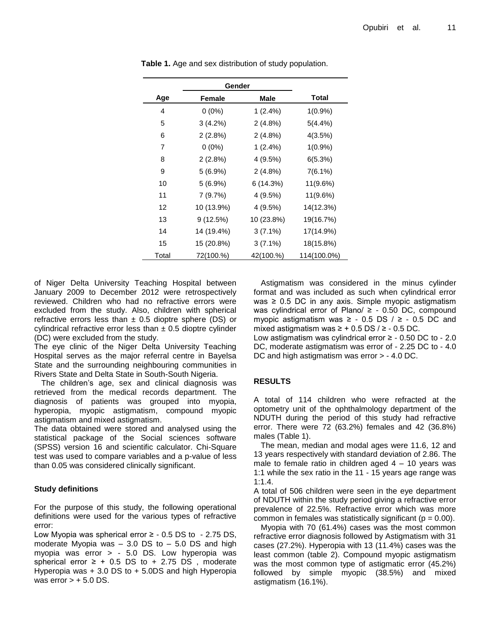|       | Gender     |            |             |
|-------|------------|------------|-------------|
| Age   | Female     | Male       | Total       |
| 4     | $0(0\%)$   | $1(2.4\%)$ | $1(0.9\%)$  |
| 5     | $3(4.2\%)$ | $2(4.8\%)$ | $5(4.4\%)$  |
| 6     | 2(2.8%)    | $2(4.8\%)$ | 4(3.5%)     |
| 7     | $0(0\%)$   | $1(2.4\%)$ | $1(0.9\%)$  |
| 8     | 2(2.8%)    | 4 (9.5%)   | 6(5.3%)     |
| 9     | $5(6.9\%)$ | $2(4.8\%)$ | $7(6.1\%)$  |
| 10    | $5(6.9\%)$ | 6 (14.3%)  | 11(9.6%)    |
| 11    | 7(9.7%)    | 4 (9.5%)   | 11(9.6%)    |
| 12    | 10 (13.9%) | 4(9.5%)    | 14(12.3%)   |
| 13    | 9(12.5%)   | 10 (23.8%) | 19(16.7%)   |
| 14    | 14 (19.4%) | $3(7.1\%)$ | 17(14.9%)   |
| 15    | 15 (20.8%) | $3(7.1\%)$ | 18(15.8%)   |
| Total | 72(100.%)  | 42(100.%)  | 114(100.0%) |

**Table 1.** Age and sex distribution of study population.

of Niger Delta University Teaching Hospital between January 2009 to December 2012 were retrospectively reviewed. Children who had no refractive errors were excluded from the study. Also, children with spherical refractive errors less than  $\pm$  0.5 dioptre sphere (DS) or cylindrical refractive error less than  $\pm$  0.5 dioptre cylinder (DC) were excluded from the study.

The eye clinic of the Niger Delta University Teaching Hospital serves as the major referral centre in Bayelsa State and the surrounding neighbouring communities in Rivers State and Delta State in South-South Nigeria.

The children's age, sex and clinical diagnosis was retrieved from the medical records department. The diagnosis of patients was grouped into myopia, hyperopia, myopic astigmatism, compound myopic astigmatism and mixed astigmatism.

The data obtained were stored and analysed using the statistical package of the Social sciences software (SPSS) version 16 and scientific calculator. Chi-Square test was used to compare variables and a p-value of less than 0.05 was considered clinically significant.

## **Study definitions**

For the purpose of this study, the following operational definitions were used for the various types of refractive error:

Low Myopia was spherical error ≥ - 0.5 DS to - 2.75 DS, moderate Myopia was  $-3.0$  DS to  $-5.0$  DS and high myopia was error > - 5.0 DS. Low hyperopia was spherical error  $\ge$  + 0.5 DS to + 2.75 DS, moderate Hyperopia was + 3.0 DS to + 5.0DS and high Hyperopia was error  $> +5.0$  DS.

Astigmatism was considered in the minus cylinder format and was included as such when cylindrical error was  $\geq$  0.5 DC in any axis. Simple myopic astigmatism was cylindrical error of Plano/  $\geq$  - 0.50 DC, compound myopic astigmatism was  $≥$  - 0.5 DS  $/≥$  - 0.5 DC and mixed astigmatism was  $≥ + 0.5$  DS  $/ ≥ - 0.5$  DC.

Low astigmatism was cylindrical error  $≥$  - 0.50 DC to - 2.0 DC, moderate astigmatism was error of - 2.25 DC to - 4.0 DC and high astigmatism was error > - 4.0 DC.

## **RESULTS**

A total of 114 children who were refracted at the optometry unit of the ophthalmology department of the NDUTH during the period of this study had refractive error. There were 72 (63.2%) females and 42 (36.8%) males (Table 1).

The mean, median and modal ages were 11.6, 12 and 13 years respectively with standard deviation of 2.86. The male to female ratio in children aged  $4 - 10$  years was 1:1 while the sex ratio in the 11 - 15 years age range was 1:1.4.

A total of 506 children were seen in the eye department of NDUTH within the study period giving a refractive error prevalence of 22.5%. Refractive error which was more common in females was statistically significant ( $p = 0.00$ ).

Myopia with 70 (61.4%) cases was the most common refractive error diagnosis followed by Astigmatism with 31 cases (27.2%). Hyperopia with 13 (11.4%) cases was the least common (table 2). Compound myopic astigmatism was the most common type of astigmatic error (45.2%) followed by simple myopic (38.5%) and mixed astigmatism (16.1%).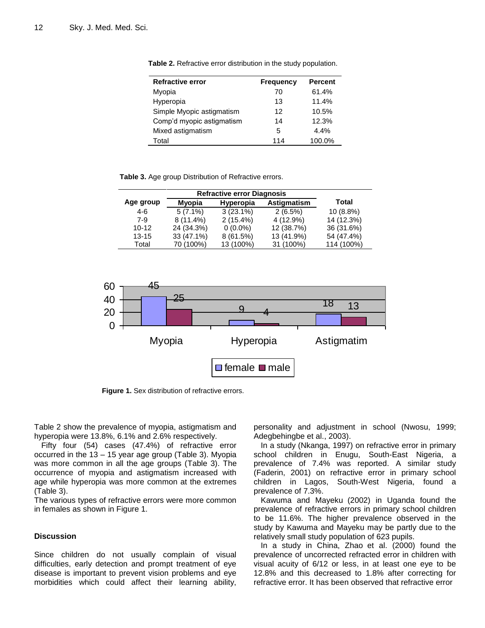| <b>Refractive error</b>   | <b>Frequency</b> | <b>Percent</b> |
|---------------------------|------------------|----------------|
| Myopia                    | 70               | 61.4%          |
| Hyperopia                 | 13               | 11.4%          |
| Simple Myopic astigmatism | 12               | 10.5%          |
| Comp'd myopic astigmatism | 14               | 12.3%          |
| Mixed astigmatism         | 5                | 4.4%           |
| Total                     | 114              | 100.0%         |

**Table 2.** Refractive error distribution in the study population.

**Table 3.** Age group Distribution of Refractive errors.

|           | <b>Refractive error Diagnosis</b> |             |             |            |
|-----------|-----------------------------------|-------------|-------------|------------|
| Age group | Myopia                            | Hyperopia   | Astigmatism | Total      |
| 4-6       | $5(7.1\%)$                        | $3(23.1\%)$ | 2(6.5%)     | 10 (8.8%)  |
| $7-9$     | $8(11.4\%)$                       | $2(15.4\%)$ | 4 (12.9%)   | 14 (12.3%) |
| $10 - 12$ | 24 (34.3%)                        | $0(0.0\%)$  | 12 (38.7%)  | 36 (31.6%) |
| $13 - 15$ | 33 (47.1%)                        | 8(61.5%)    | 13 (41.9%)  | 54 (47.4%) |
| Total     | 70 (100%)                         | 13 (100%)   | 31 (100%)   | 114 (100%) |



**Figure 1.** Sex distribution of refractive errors.

Table 2 show the prevalence of myopia, astigmatism and hyperopia were 13.8%, 6.1% and 2.6% respectively.

Fifty four (54) cases (47.4%) of refractive error occurred in the 13 – 15 year age group (Table 3). Myopia was more common in all the age groups (Table 3). The occurrence of myopia and astigmatism increased with age while hyperopia was more common at the extremes (Table 3).

The various types of refractive errors were more common in females as shown in Figure 1.

#### **Discussion**

Since children do not usually complain of visual difficulties, early detection and prompt treatment of eye disease is important to prevent vision problems and eye morbidities which could affect their learning ability,

personality and adjustment in school (Nwosu, 1999; Adegbehingbe et al., 2003).

In a study (Nkanga, 1997) on refractive error in primary school children in Enugu, South-East Nigeria, a prevalence of 7.4% was reported. A similar study (Faderin, 2001) on refractive error in primary school children in Lagos, South-West Nigeria, found a prevalence of 7.3%.

Kawuma and Mayeku (2002) in Uganda found the prevalence of refractive errors in primary school children to be 11.6%. The higher prevalence observed in the study by Kawuma and Mayeku may be partly due to the relatively small study population of 623 pupils.

In a study in China, Zhao et al. (2000) found the prevalence of uncorrected refracted error in children with visual acuity of 6/12 or less, in at least one eye to be 12.8% and this decreased to 1.8% after correcting for refractive error. It has been observed that refractive error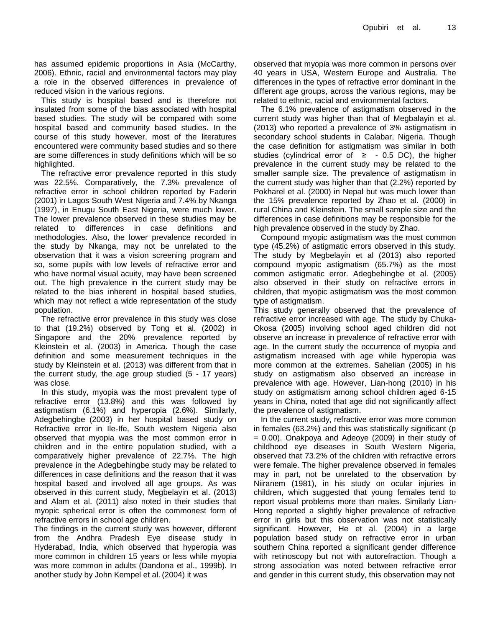has assumed epidemic proportions in Asia (McCarthy, 2006). Ethnic, racial and environmental factors may play a role in the observed differences in prevalence of reduced vision in the various regions.

This study is hospital based and is therefore not insulated from some of the bias associated with hospital based studies. The study will be compared with some hospital based and community based studies. In the course of this study however, most of the literatures encountered were community based studies and so there are some differences in study definitions which will be so highlighted.

The refractive error prevalence reported in this study was 22.5%. Comparatively, the 7.3% prevalence of refractive error in school children reported by Faderin (2001) in Lagos South West Nigeria and 7.4% by Nkanga (1997), in Enugu South East Nigeria, were much lower. The lower prevalence observed in these studies may be related to differences in case definitions and methodologies. Also, the lower prevalence recorded in the study by Nkanga, may not be unrelated to the observation that it was a vision screening program and so, some pupils with low levels of refractive error and who have normal visual acuity, may have been screened out. The high prevalence in the current study may be related to the bias inherent in hospital based studies, which may not reflect a wide representation of the study population.

The refractive error prevalence in this study was close to that (19.2%) observed by Tong et al. (2002) in Singapore and the 20% prevalence reported by Kleinstein et al. (2003) in America. Though the case definition and some measurement techniques in the study by Kleinstein et al. (2013) was different from that in the current study, the age group studied (5 - 17 years) was close.

In this study, myopia was the most prevalent type of refractive error (13.8%) and this was followed by astigmatism (6.1%) and hyperopia (2.6%). Similarly, Adegbehingbe (2003) in her hospital based study on Refractive error in Ile-Ife, South western Nigeria also observed that myopia was the most common error in children and in the entire population studied, with a comparatively higher prevalence of 22.7%. The high prevalence in the Adegbehingbe study may be related to differences in case definitions and the reason that it was hospital based and involved all age groups. As was observed in this current study, Megbelayin et al. (2013) and Alam et al. (2011) also noted in their studies that myopic spherical error is often the commonest form of refractive errors in school age children.

The findings in the current study was however, different from the Andhra Pradesh Eye disease study in Hyderabad, India, which observed that hyperopia was more common in children 15 years or less while myopia was more common in adults (Dandona et al., 1999b). In another study by John Kempel et al. (2004) it was

observed that myopia was more common in persons over 40 years in USA, Western Europe and Australia. The differences in the types of refractive error dominant in the different age groups, across the various regions, may be related to ethnic, racial and environmental factors.

The 6.1% prevalence of astigmatism observed in the current study was higher than that of Megbalayin et al. (2013) who reported a prevalence of 3% astigmatism in secondary school students in Calabar, Nigeria. Though the case definition for astigmatism was similar in both studies (cylindrical error of  $\geq$  - 0.5 DC), the higher prevalence in the current study may be related to the smaller sample size. The prevalence of astigmatism in the current study was higher than that (2.2%) reported by Pokharel et al. (2000) in Nepal but was much lower than the 15% prevalence reported by Zhao et al. (2000) in rural China and Kleinstein. The small sample size and the differences in case definitions may be responsible for the high prevalence observed in the study by Zhao.

Compound myopic astigmatism was the most common type (45.2%) of astigmatic errors observed in this study. The study by Megbelayin et al (2013) also reported compound myopic astigmatism (65.7%) as the most common astigmatic error. Adegbehingbe et al. (2005) also observed in their study on refractive errors in children, that myopic astigmatism was the most common type of astigmatism.

This study generally observed that the prevalence of refractive error increased with age. The study by Chuka-Okosa (2005) involving school aged children did not observe an increase in prevalence of refractive error with age. In the current study the occurrence of myopia and astigmatism increased with age while hyperopia was more common at the extremes. Sahelian (2005) in his study on astigmatism also observed an increase in prevalence with age. However, Lian-hong (2010) in his study on astigmatism among school children aged 6-15 years in China, noted that age did not significantly affect the prevalence of astigmatism.

In the current study, refractive error was more common in females (63.2%) and this was statistically significant (p = 0.00). Onakpoya and Adeoye (2009) in their study of childhood eye diseases in South Western Nigeria, observed that 73.2% of the children with refractive errors were female. The higher prevalence observed in females may in part, not be unrelated to the observation by Niiranem (1981), in his study on ocular injuries in children, which suggested that young females tend to report visual problems more than males. Similarly Lian-Hong reported a slightly higher prevalence of refractive error in girls but this observation was not statistically significant. However, He et al. (2004) in a large population based study on refractive error in urban southern China reported a significant gender difference with retinoscopy but not with autorefraction. Though a strong association was noted between refractive error and gender in this current study, this observation may not